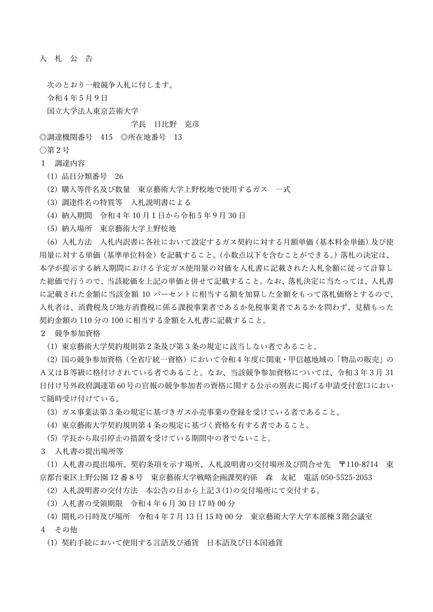入 札 公 告

次のとおり一般競争入札に付します。 令和4年5月9日 国立大学法人東京芸術大学

## 学長 日比野 克彦

◎調達機関番号 415 ◎所在地番号 13

○第2号

## 1 調達内容

- (1) 品目分類番号 26
- (2) 購入等件名及び数量 東京藝術大学上野校地で使用するガス 一式
- (3) 調達件名の特質等 入札説明書による
- (4) 納入期間 令和4年 10 月1日から令和5年9月 30 日
- (5) 納入場所 東京藝術大学上野校地

(6) 入札方法 入札内訳書に各社において設定するガス契約に対する月額単価(基本料金単価)及び使 用量に対する単価(基準単位料金)を記載すること。(小数点以下を含むことができる。)落札の決定は、 本学が提示する納入期間における予定ガス使用量の対価を入札書に記載された入札金額に従って計算し た総価で行うので、当該総価を上記の単価と併せて記載すること。なお、落札決定に当たっては、入札書 に記載された金額に当該金額 10 パーセントに相当する額を加算した金額をもって落札価格とするので、 入札者は、消費税及び地方消費税に係る課税事業者であるか免税事業者であるかを問わず、見積もった 契約金額の 110 分の 100 に相当する金額を入札書に記載すること。

2 競争参加資格

(1) 東京藝術大学契約規則第2条及び第3条の規定に該当しない者であること。

(2) 国の競争参加資格(全省庁統一資格)において令和4年度に関東・甲信越地域の「物品の販売」の A又はB等級に格付けされている者であること。なお、当該競争参加資格については、令和3年3月 31 日付け号外政府調達第60号の官報の競争参加者の資格に関する公示の別表に掲げる申請受付窓口におい て随時受け付けている。

(3) ガス事業法第3条の規定に基づきガス小売事業の登録を受けている者であること。

(4) 東京藝術大学契約規則第4条の規定に基づく資格を有する者であること。

(5) 学長から取引停止の措置を受けている期間中の者でないこと。

3 入札書の提出場所等

(1) 入札書の提出場所、契約条項を示す場所、入札説明書の交付場所及び問合せ先 〒110-8714 東 京都台東区上野公園 12 番8号 東京藝術大学戦略企画課契約係 森 友紀 電話 050-5525-2053

(2) 入札説明書の交付方法 本公告の日から上記3(1)の交付場所にて交付する。

- (3) 入札書の受領期限 令和4年6月 30 日 17 時 00 分
- (4) 開札の日時及び場所 令和4年7月 13 日 15 時 00 分 東京藝術大学大学本部棟3階会議室
- 4 その他

(1) 契約手続において使用する言語及び通貨 日本語及び日本国通貨